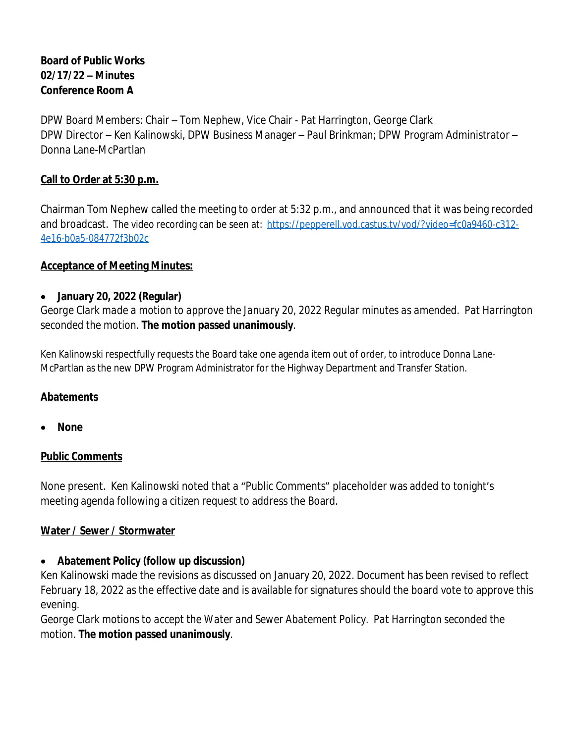### **Board of Public Works 02/17/22 – Minutes Conference Room A**

DPW Board Members: Chair – Tom Nephew, Vice Chair - Pat Harrington, George Clark DPW Director – Ken Kalinowski, DPW Business Manager – Paul Brinkman; DPW Program Administrator – Donna Lane-McPartlan

#### **Call to Order at 5:30 p.m.**

Chairman Tom Nephew called the meeting to order at 5:32 p.m., and announced that it was being recorded and broadcast. The video recording can be seen at: [https://pepperell.vod.castus.tv/vod/?video=fc0a9460-c312-](https://pepperell.vod.castus.tv/vod/?video=fc0a9460-c312-4e16-b0a5-084772f3b02c) 4e16-b0a5-084772f3b02c

#### **Acceptance of Meeting Minutes:**

#### **January 20, 2022 (Regular)**

*George Clark made a motion to approve the January 20, 2022 Regular minutes as amended. Pat Harrington seconded the motion*. **The motion passed unanimously**.

Ken Kalinowski respectfully requests the Board take one agenda item out of order, to introduce Donna Lane-McPartlan as the new DPW Program Administrator for the Highway Department and Transfer Station.

### **Abatements**

**None**

#### **Public Comments**

None present. Ken Kalinowski noted that a "Public Comments" placeholder was added to tonight's meeting agenda following a citizen request to address the Board.

#### **Water / Sewer / Stormwater**

### **Abatement Policy (follow up discussion)**

Ken Kalinowski made the revisions as discussed on January 20, 2022. Document has been revised to reflect February 18, 2022 as the effective date and is available for signatures should the board vote to approve this evening.

*George Clark motions to accept the Water and Sewer Abatement Policy. Pat Harrington seconded the motion*. **The motion passed unanimously**.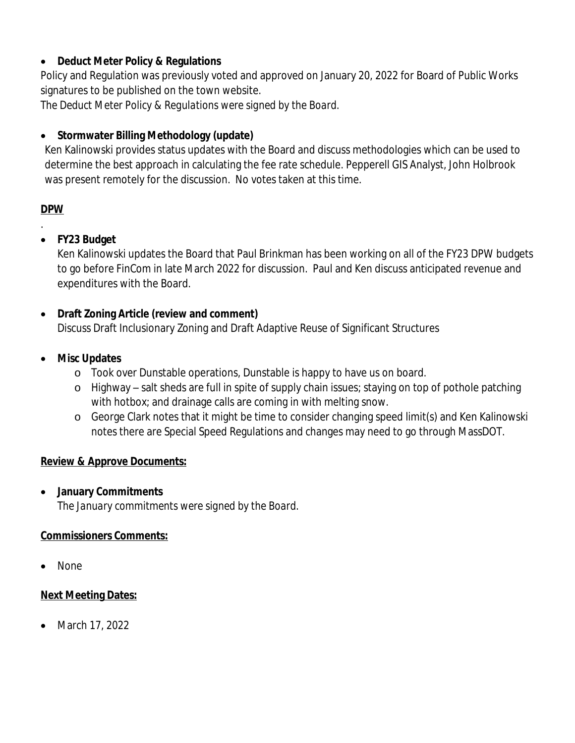### **Deduct Meter Policy & Regulations**

Policy and Regulation was previously voted and approved on January 20, 2022 for Board of Public Works signatures to be published on the town website.

*The Deduct Meter Policy & Regulations were signed by the Board*.

# **Stormwater Billing Methodology (update)**

Ken Kalinowski provides status updates with the Board and discuss methodologies which can be used to determine the best approach in calculating the fee rate schedule. Pepperell GIS Analyst, John Holbrook was present remotely for the discussion. No votes taken at this time.

## **DPW**

.

## **FY23 Budget**

Ken Kalinowski updates the Board that Paul Brinkman has been working on all of the FY23 DPW budgets to go before FinCom in late March 2022 for discussion. Paul and Ken discuss anticipated revenue and expenditures with the Board.

## **Draft Zoning Article (review and comment)**

Discuss Draft Inclusionary Zoning and Draft Adaptive Reuse of Significant Structures

### **Misc Updates**

- o Took over Dunstable operations, Dunstable is happy to have us on board.
- o Highway salt sheds are full in spite of supply chain issues; staying on top of pothole patching with hotbox; and drainage calls are coming in with melting snow.
- o George Clark notes that it might be time to consider changing speed limit(s) and Ken Kalinowski notes there are Special Speed Regulations and changes may need to go through MassDOT.

## **Review & Approve Documents:**

**January Commitments**

*The January commitments were signed by the Board*.

## **Commissioners Comments:**

None

## **Next Meeting Dates:**

• March 17, 2022